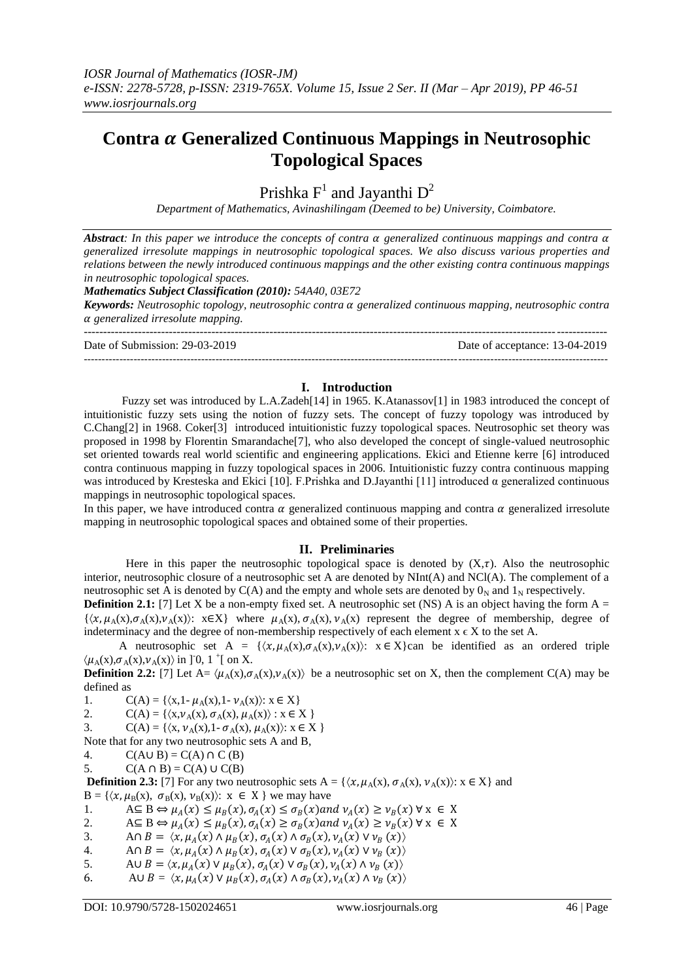# **Contra Generalized Continuous Mappings in Neutrosophic Topological Spaces**

Prishka  $F^1$  and Jayanthi  $D^2$ 

*Department of Mathematics, Avinashilingam (Deemed to be) University, Coimbatore.*

*Abstract: In this paper we introduce the concepts of contra generalized continuous mappings and contra generalized irresolute mappings in neutrosophic topological spaces. We also discuss various properties and relations between the newly introduced continuous mappings and the other existing contra continuous mappings in neutrosophic topological spaces.*

*Mathematics Subject Classification (2010): 54A40, 03E72*

*Keywords: Neutrosophic topology, neutrosophic contra generalized continuous mapping, neutrosophic contra generalized irresolute mapping.*

--------------------------------------------------------------------------------------------------------------------------------------- Date of Submission: 29-03-2019 Date of acceptance: 13-04-2019 ---------------------------------------------------------------------------------------------------------------------------------------------------

# **I. Introduction**

Fuzzy set was introduced by L.A.Zadeh<sup>[14]</sup> in 1965. K.Atanassov<sup>[1]</sup> in 1983 introduced the concept of intuitionistic fuzzy sets using the notion of fuzzy sets. The concept of fuzzy topology was introduced by C.Chang[2] in 1968. Coker[3] introduced intuitionistic fuzzy topological spaces. Neutrosophic set theory was proposed in 1998 by Florentin Smarandache[7], who also developed the concept of single-valued neutrosophic set oriented towards real world scientific and engineering applications. Ekici and Etienne kerre [6] introduced contra continuous mapping in fuzzy topological spaces in 2006. Intuitionistic fuzzy contra continuous mapping was introduced by Kresteska and Ekici [10]. F.Prishka and D.Jayanthi [11] introduced  $\alpha$  generalized continuous mappings in neutrosophic topological spaces.

In this paper, we have introduced contra  $\alpha$  generalized continuous mapping and contra  $\alpha$  generalized irresolute mapping in neutrosophic topological spaces and obtained some of their properties.

# **II. Preliminaries**

Here in this paper the neutrosophic topological space is denoted by  $(X, \tau)$ . Also the neutrosophic interior, neutrosophic closure of a neutrosophic set A are denoted by NInt(A) and NCl(A). The complement of a neutrosophic set A is denoted by  $C(A)$  and the empty and whole sets are denoted by  $0<sub>N</sub>$  and  $1<sub>N</sub>$  respectively.

**Definition 2.1:** [7] Let X be a non-empty fixed set. A neutrosophic set (NS) A is an object having the form  $A =$  $\{\langle x,\mu_A(x),\sigma_A(x),\nu_A(x)\rangle\colon x\in X\}$  where  $\mu_A(x), \sigma_A(x), \nu_A(x)$  represent the degree of membership, degree of indeterminacy and the degree of non-membership respectively of each element  $x \in X$  to the set A.

A neutrosophic set A =  $\{\langle x, \mu_A(x), \sigma_A(x), \nu_A(x)\rangle\}$ :  $x \in X\}$ can be identified as an ordered triple  $\langle \mu_A(x), \sigma_A(x), \nu_A(x) \rangle$  in ]<sup>-</sup>0, 1<sup>+</sup>[ on X.

**Definition 2.2:** [7] Let A=  $\langle \mu_A(x), \sigma_A(x), \nu_A(x) \rangle$  be a neutrosophic set on X, then the complement C(A) may be defined as

1.  $C(A) = \{ \langle x, 1-\mu_A(x), 1-\nu_A(x) \rangle : x \in X \}$ 

2.  $C(A) = \{ \langle x, \nu_A(x), \sigma_A(x), \mu_A(x) \rangle : x \in X \}$ 

3. C(A) = { $\langle x, v_A(x), 1 - \sigma_A(x), \mu_A(x) \rangle: x \in X$  }

Note that for any two neutrosophic sets A and B,

4.  $C(A \cup B) = C(A) \cap C(B)$ 

5.  $C(A \cap B) = C(A) \cup C(B)$ 

**Definition 2.3:** [7] For any two neutrosophic sets  $A = \{ \langle x, \mu_A(x), \sigma_A(x), \nu_A(x) \rangle : x \in X \}$  and  $B = \{ \langle x, \mu_B(x), \sigma_B(x), \nu_B(x) \rangle : x \in X \}$  we may have

1.  $A \subseteq B \Leftrightarrow \mu_A(x) \leq \mu_B(x), \sigma_A(x) \leq \sigma_B(x)$  and  $\nu_A(x) \geq \nu_B(x)$   $\forall x \in X$ 

2.  $A \subseteq B \Leftrightarrow \mu_A(x) \le \mu_B(x), \sigma_A(x) \ge \sigma_B(x)$  and  $\nu_A(x) \ge \nu_B(x)$   $\forall x \in X$ 

3. A $\cap B = \langle x, \mu_A(x) \land \mu_B(x), \sigma_A(x) \land \sigma_B(x), \nu_A(x) \lor \nu_B(x) \rangle$ 

- 4. An  $B = \langle x, \mu_A(x) \wedge \mu_B(x), \sigma_A(x) \vee \sigma_B(x), \nu_A(x) \vee \nu_B(x) \rangle$
- 5. AU  $B = \langle x, \mu_A(x) \vee \mu_B(x), \sigma_A(x) \vee \sigma_B(x), \nu_A(x) \wedge \nu_B(x) \rangle$
- 6. AU  $B = \langle x, \mu_A(x) \vee \mu_B(x), \sigma_A(x) \wedge \sigma_B(x), \nu_A(x) \wedge \nu_B(x) \rangle$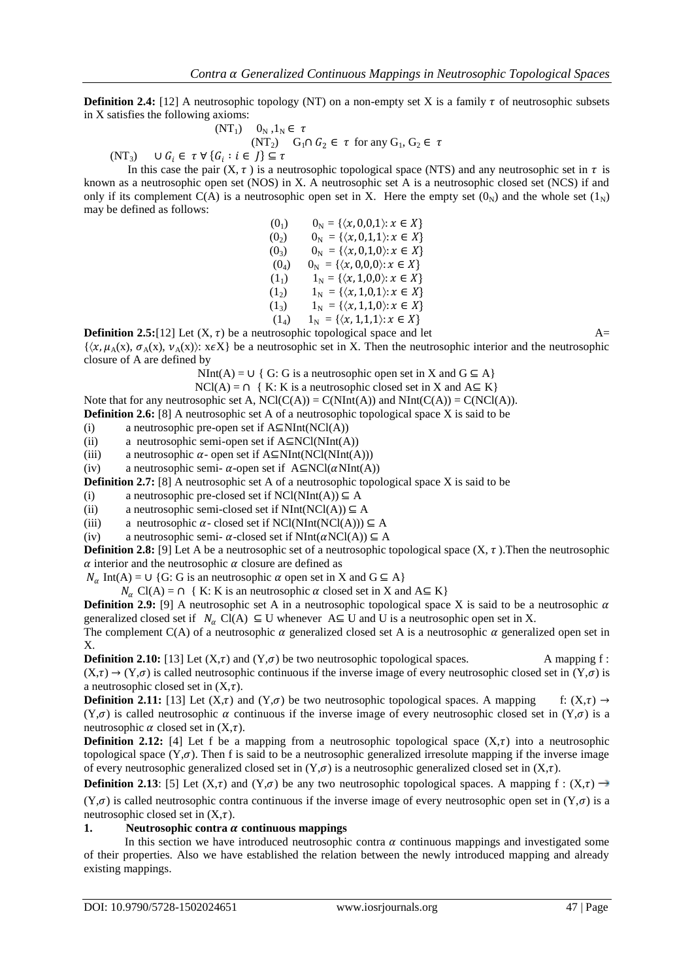**Definition 2.4:** [12] A neutrosophic topology (NT) on a non-empty set X is a family  $\tau$  of neutrosophic subsets in X satisfies the following axioms:

$$
(NT_1) \quad 0_N, 1_N \in \tau
$$
  
\n
$$
(NT_2) \quad G_1 \cap G_2 \in \tau \text{ for any } G_1, G_2 \in \tau
$$
  
\n
$$
(NT_3) \quad \cup G_i \in \tau \forall \{G_i : i \in J\} \subseteq \tau
$$

In this case the pair  $(X, \tau)$  is a neutrosophic topological space (NTS) and any neutrosophic set in  $\tau$  is known as a neutrosophic open set (NOS) in X. A neutrosophic set A is a neutrosophic closed set (NCS) if and only if its complement C(A) is a neutrosophic open set in X. Here the empty set  $(0_N)$  and the whole set  $(1_N)$ may be defined as follows:

> (0<sub>1</sub>)  $0_N = \{\langle x, 0, 0, 1 \rangle : x \in X\}$ (0<sub>2</sub>)  $0_N = \{ \langle x, 0, 1, 1 \rangle : x \in X \}$ (0<sub>3</sub>)  $0_N = \{\langle x, 0,1,0\rangle : x \in X\}$  $(0_4)$   $0_N = {\{\langle x, 0,0,0 \rangle : x \in X\}}$ (1<sub>1</sub>)  $1_N = \{\langle x, 1,0,0 \rangle : x \in X\}$  $(1_2)$   $1_N = {\langle x, 1, 0, 1 \rangle : x \in X}$ (1<sub>3</sub>)  $1_N = {\langle x, 1,1,0 \rangle : x \in X}$  $(1_4)$   $1_N = \{\langle x, 1,1,1\rangle : x \in X\}$

**Definition 2.5:**[12] Let  $(X, \tau)$  be a neutrosophic topological space and let  $A=$ 

 $\{(x, \mu_A(x), \sigma_A(x), \nu_A(x))\colon x \in X\}$  be a neutrosophic set in X. Then the neutrosophic interior and the neutrosophic closure of A are defined by

NInt(A) = ∪ { G: G is a neutrosophic open set in X and  $G \subseteq A$ }

 $NCI(A) = \bigcap \{ K: K \text{ is a neutrosophic closed set in } X \text{ and } A \subseteq K \}$ 

Note that for any neutrosophic set A,  $NCl(C(A)) = C(NInt(A))$  and  $NInt(C(A)) = C(NCl(A))$ .

**Definition 2.6:** [8] A neutrosophic set A of a neutrosophic topological space X is said to be

(i) a neutrosophic pre-open set if  $A \subseteq NInt(NCl(A))$ 

(ii) a neutrosophic semi-open set if  $A \subseteq NCl(NInt(A))$ 

(iii) a neutrosophic  $\alpha$ - open set if A⊆NInt(NCl(NInt(A)))

(iv) a neutrosophic semi-  $\alpha$ -open set if A⊆NCl( $\alpha$ NInt(A))

**Definition 2.7:** [8] A neutrosophic set A of a neutrosophic topological space X is said to be

(i) a neutrosophic pre-closed set if  $NCl(NInt(A)) \subseteq A$ 

(ii) a neutrosophic semi-closed set if  $NInt(NCl(A)) \subseteq A$ 

(iii) a neutrosophic  $\alpha$ - closed set if NCl(NInt(NCl(A)))  $\subseteq$  A

(iv) a neutrosophic semi-  $\alpha$ -closed set if NInt( $\alpha$ NCl(A))  $\subseteq$  A

**Definition 2.8:** [9] Let A be a neutrosophic set of a neutrosophic topological space  $(X, \tau)$ . Then the neutrosophic  $\alpha$  interior and the neutrosophic  $\alpha$  closure are defined as

 $N_{\alpha}$  Int(A) = ∪ {G: G is an neutrosophic  $\alpha$  open set in X and G  $\subseteq$  A}

 $N_{\alpha}$  Cl(A) =  $\cap$  { K: K is an neutrosophic  $\alpha$  closed set in X and A $\subseteq$  K}

**Definition 2.9:** [9] A neutrosophic set A in a neutrosophic topological space X is said to be a neutrosophic  $\alpha$ generalized closed set if  $N_{\alpha}$  Cl(A)  $\subseteq$  U whenever A $\subseteq$  U and U is a neutrosophic open set in X.

The complement  $C(A)$  of a neutrosophic  $\alpha$  generalized closed set A is a neutrosophic  $\alpha$  generalized open set in X.

**Definition 2.10:** [13] Let  $(X,\tau)$  and  $(Y,\sigma)$  be two neutrosophic topological spaces. A mapping f:  $(X,\tau) \to (Y,\sigma)$  is called neutrosophic continuous if the inverse image of every neutrosophic closed set in  $(Y,\sigma)$  is a neutrosophic closed set in  $(X,\tau)$ .

**Definition 2.11:** [13] Let  $(X,\tau)$  and  $(Y,\sigma)$  be two neutrosophic topological spaces. A mapping f:  $(X,\tau) \to$  $(Y,\sigma)$  is called neutrosophic  $\alpha$  continuous if the inverse image of every neutrosophic closed set in  $(Y,\sigma)$  is a neutrosophic  $\alpha$  closed set in  $(X,\tau)$ .

**Definition 2.12:** [4] Let f be a mapping from a neutrosophic topological space  $(X,\tau)$  into a neutrosophic topological space  $(Y,\sigma)$ . Then f is said to be a neutrosophic generalized irresolute mapping if the inverse image of every neutrosophic generalized closed set in  $(Y,\sigma)$  is a neutrosophic generalized closed set in  $(X,\tau)$ .

**Definition 2.13**: [5] Let  $(X,\tau)$  and  $(Y,\sigma)$  be any two neutrosophic topological spaces. A mapping f :  $(X,\tau) \rightarrow$  $(Y,\sigma)$  is called neutrosophic contra continuous if the inverse image of every neutrosophic open set in  $(Y,\sigma)$  is a neutrosophic closed set in  $(X, \tau)$ .

### **1. Neutrosophic contra**  $\alpha$  **continuous mappings**

In this section we have introduced neutrosophic contra  $\alpha$  continuous mappings and investigated some of their properties. Also we have established the relation between the newly introduced mapping and already existing mappings.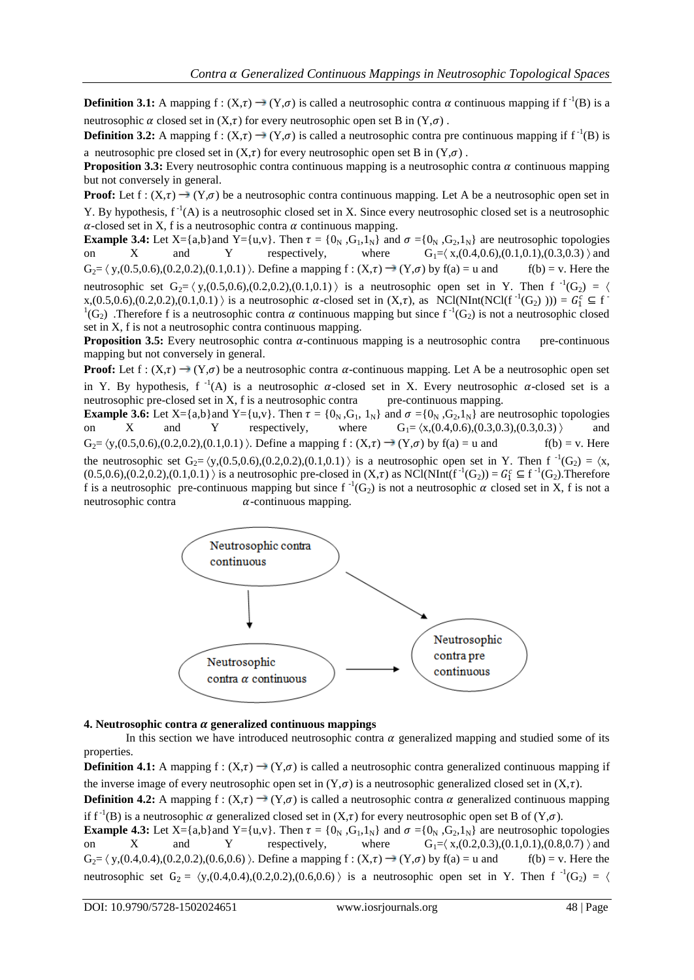**Definition 3.1:** A mapping  $f : (X, \tau) \to (Y, \sigma)$  is called a neutrosophic contra  $\alpha$  continuous mapping if  $f^{-1}(B)$  is a neutrosophic  $\alpha$  closed set in  $(X,\tau)$  for every neutrosophic open set B in  $(Y,\sigma)$ .

**Definition 3.2:** A mapping  $f : (X, \tau) \to (Y, \sigma)$  is called a neutrosophic contra pre continuous mapping if  $f^{-1}(B)$  is a neutrosophic pre closed set in  $(X,\tau)$  for every neutrosophic open set B in  $(Y,\sigma)$ .

**Proposition 3.3:** Every neutrosophic contra continuous mapping is a neutrosophic contra  $\alpha$  continuous mapping but not conversely in general.

**Proof:** Let  $f: (X,\tau) \to (Y,\sigma)$  be a neutrosophic contra continuous mapping. Let A be a neutrosophic open set in Y. By hypothesis,  $f^{-1}(A)$  is a neutrosophic closed set in X. Since every neutrosophic closed set is a neutrosophic  $\alpha$ -closed set in X, f is a neutrosophic contra  $\alpha$  continuous mapping.

**Example 3.4:** Let  $X = \{a,b\}$  and  $Y = \{u,v\}$ . Then  $\tau = \{0_N, G_1, 1_N\}$  and  $\sigma = \{0_N, G_2, 1_N\}$  are neutrosophic topologies on  $X$  and  $Y$  respectively, where  $G_1 = \{x,(0.4,0.6),(0.1,0.1),(0.3,0.3)\}$  and on X and Y respectively, where  $G_1 = \langle x,(0.4,0.6),(0.1,0.1),(0.3,0.3)\rangle$  and  $G_2 = \langle y,(0.5,0.6),(0.2,0.2),(0.1,0.1)\rangle$ . Define a mapping  $f:(X,\tau) \to (Y,\sigma)$  by  $f(a) = u$  and  $f(b) = v$ . Here the neutrosophic set  $G_2 = \langle y,(0.5,0.6),(0.2,0.2),(0.1,0.1)\rangle$  is a neutrosophic open set in Y. Then  $f^{-1}(G_2) = \langle$  $x,(0.5,0.6),(0.2,0.2),(0.1,0.1))$  is a neutrosophic  $\alpha$ -closed set in  $(X,\tau)$ , as NCl(NInt(NCl(f<sup>-1</sup>(G<sub>2</sub>)))) =  $G_1^c \subseteq f^{-1}$  ${}^{1}(G_{2})$ . Therefore f is a neutrosophic contra  $\alpha$  continuous mapping but since f<sup>-1</sup>(G<sub>2</sub>) is not a neutrosophic closed set in X, f is not a neutrosophic contra continuous mapping.

**Proposition 3.5:** Every neutrosophic contra  $\alpha$ -continuous mapping is a neutrosophic contra pre-continuous mapping but not conversely in general.

**Proof:** Let  $f: (X,\tau) \to (Y,\sigma)$  be a neutrosophic contra  $\alpha$ -continuous mapping. Let A be a neutrosophic open set in Y. By hypothesis,  $f^{-1}(A)$  is a neutrosophic  $\alpha$ -closed set in X. Every neutrosophic  $\alpha$ -closed set is a neutrosophic pre-closed set in X, f is a neutrosophic contra pre-continuous mapping.

**Example 3.6:** Let X={a,b}and Y={u,v}. Then  $\tau = \{0_N, G_1, 1_N\}$  and  $\sigma = \{0_N, G_2, 1_N\}$  are neutrosophic topologies on X and Y respectively, where  $G_1 = (x,(0.4,0.6),(0.3,0.3),(0.3,0.3))$  and  $G_2 = \langle y,(0.5,0.6),(0.2,0.2),(0.1,0.1)\rangle$ . Define a mapping  $f : (X,\tau) \to (Y,\sigma)$  by  $f(a) = u$  and  $f(b) = v$ . Here the neutrosophic set  $G_2 = \langle y,(0.5,0.6),(0.2,0.2),(0.1,0.1)\rangle$  is a neutrosophic open set in Y. Then  $f^{-1}(G_2) = \langle x,$  $(0.5,0.6), (0.2,0.2), (0.1,0.1)$  is a neutrosophic pre-closed in  $(X,\tau)$  as NCl(NInt( $f^{-1}(G_2)$ ) =  $G_1^c \subseteq f^{-1}(G_2)$ . Therefore f is a neutrosophic pre-continuous mapping but since  $f^{-1}(G_2)$  is not a neutrosophic  $\alpha$  closed set in X, f is not a neutrosophic contra  $\alpha$ -continuous mapping.



### **4. Neutrosophic contra**  $\alpha$  **generalized continuous mappings**

In this section we have introduced neutrosophic contra  $\alpha$  generalized mapping and studied some of its properties.

**Definition 4.1:** A mapping  $f : (X,\tau) \rightarrow (Y,\sigma)$  is called a neutrosophic contra generalized continuous mapping if the inverse image of every neutrosophic open set in  $(Y,\sigma)$  is a neutrosophic generalized closed set in  $(X,\tau)$ .

**Definition 4.2:** A mapping  $f : (X,\tau) \to (Y,\sigma)$  is called a neutrosophic contra  $\alpha$  generalized continuous mapping if f<sup>-1</sup>(B) is a neutrosophic  $\alpha$  generalized closed set in  $(X,\tau)$  for every neutrosophic open set B of  $(Y,\sigma)$ .

**Example 4.3:** Let X={a,b}and Y={u,v}. Then  $\tau = \{0_N, G_1, 1_N\}$  and  $\sigma = \{0_N, G_2, 1_N\}$  are neutrosophic topologies on X and Y respectively, where  $G_1 = \langle x,(0.2,0.3),(0.1,0.1),(0.8,0.7)\rangle$  and  $G_2 = \langle y,(0.4,0.4),(0.2,0.2),(0.6,0.6)\rangle$ . Define a mapping  $f:(X,\tau) \to (Y,\sigma)$  by  $f(a) = u$  and  $f(b) = v$ . Here the neutrosophic set  $G_2 = \langle y,(0.4,0.4),(0.2,0.2),(0.6,0.6) \rangle$  is a neutrosophic open set in Y. Then f<sup>-1</sup>(G<sub>2</sub>) =  $\langle$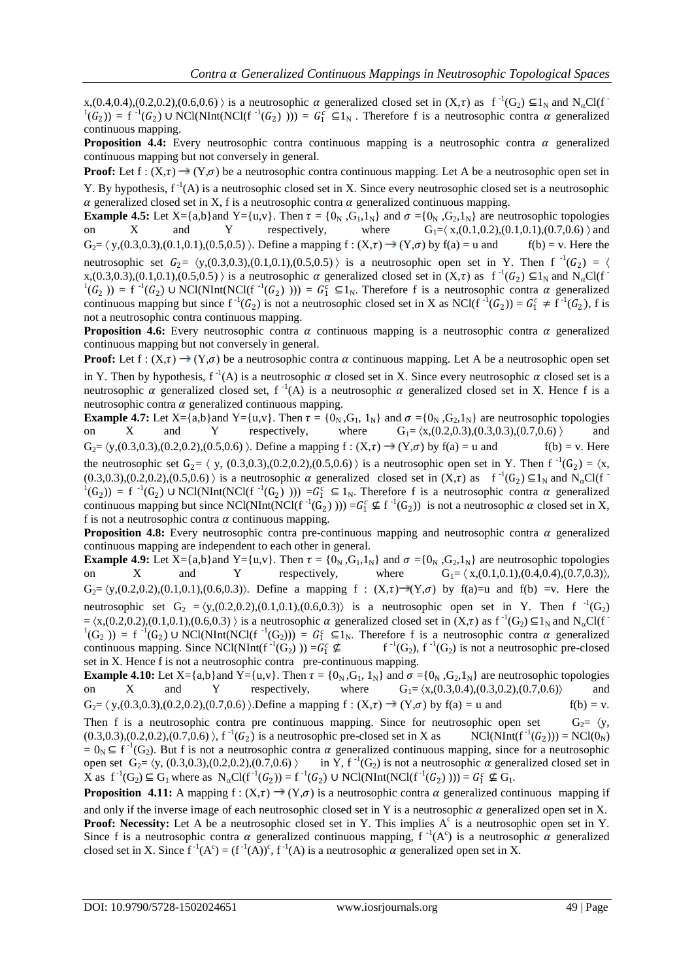$x,(0.4,0.4),(0.2,0.2),(0.6,0.6)$  is a neutrosophic  $\alpha$  generalized closed set in  $(X,\tau)$  as  $f^{-1}(G_2) \subseteq 1_N$  and  $N_{\alpha}Cl(f^{-1})$  $(1(G_2)) = f^{-1}(G_2)$  UNCl(NInt(NCl(f<sup>-1</sup>(G<sub>2</sub>)))) =  $G_1^c \subseteq 1_N$ . Therefore f is a neutrosophic contra  $\alpha$  generalized continuous mapping.

**Proposition 4.4:** Every neutrosophic contra continuous mapping is a neutrosophic contra  $\alpha$  generalized continuous mapping but not conversely in general.

**Proof:** Let  $f: (X,\tau) \to (Y,\sigma)$  be a neutrosophic contra continuous mapping. Let A be a neutrosophic open set in Y. By hypothesis,  $f^{-1}(A)$  is a neutrosophic closed set in X. Since every neutrosophic closed set is a neutrosophic  $\alpha$  generalized closed set in X, f is a neutrosophic contra  $\alpha$  generalized continuous mapping.

**Example 4.5:** Let X={a,b}and Y={u,v}. Then  $\tau = \{0_N, G_1, 1_N\}$  and  $\sigma = \{0_N, G_2, 1_N\}$  are neutrosophic topologies on X and Y respectively, where  $G_1 = \langle x,(0.1,0.2),(0.1,0.1),(0.7,0.6)\rangle$  and  $G_2 = \langle y,(0.3,0.3),(0.1,0.1),(0.5,0.5)\rangle$ . Define a mapping  $f:(X,\tau) \to (Y,\sigma)$  by  $f(a) = u$  and  $f(b) = v$ . Here the neutrosophic set  $G_2 = \langle y,(0.3,0.3),(0.1,0.1),(0.5,0.5) \rangle$  is a neutrosophic open set in Y. Then f<sup>-1</sup>( $G_2$ ) =  $\langle$  $x,(0.3,0.3),(0.1,0.1),(0.5,0.5)$  is a neutrosophic  $\alpha$  generalized closed set in  $(X,\tau)$  as  $f^{-1}(G_2) \subseteq 1_N$  and  $N_{\alpha}Cl(f^{-1})$  $(1(G_2)) = f^{-1}(G_2)$  U NCl(NInt(NCl(f<sup>-1</sup>(G<sub>2</sub>)))) =  $G_1^c \subseteq 1_N$ . Therefore f is a neutrosophic contra  $\alpha$  generalized continuous mapping but since  $f^{-1}(G_2)$  is not a neutrosophic closed set in X as NCl( $f^{-1}(G_2) = G_1^c \neq f^{-1}(G_2)$ , f is not a neutrosophic contra continuous mapping.

**Proposition 4.6:** Every neutrosophic contra  $\alpha$  continuous mapping is a neutrosophic contra  $\alpha$  generalized continuous mapping but not conversely in general.

**Proof:** Let  $f: (X,\tau) \to (Y,\sigma)$  be a neutrosophic contra  $\alpha$  continuous mapping. Let A be a neutrosophic open set in Y. Then by hypothesis,  $f^{-1}(A)$  is a neutrosophic  $\alpha$  closed set in X. Since every neutrosophic  $\alpha$  closed set is a neutrosophic  $\alpha$  generalized closed set, f<sup>-1</sup>(A) is a neutrosophic  $\alpha$  generalized closed set in X. Hence f is a neutrosophic contra  $\alpha$  generalized continuous mapping.

**Example 4.7:** Let X={a,b}and Y={u,v}. Then  $\tau = \{0_N, G_1, 1_N\}$  and  $\sigma = \{0_N, G_2, 1_N\}$  are neutrosophic topologies on X and Y respectively, where  $G_1 = \langle x,(0.2,0.3),(0.3,0.3),(0.7,0.6) \rangle$  $G_2 = \langle y,(0.3,0.3),(0.2,0.2),(0.5,0.6)\rangle$ . Define a mapping  $f:(X,\tau) \to (Y,\sigma)$  by  $f(a) = u$  and  $f(b) = v$ . Here the neutrosophic set  $G_2 = \langle y, (0.3, 0.3), (0.2, 0.2), (0.5, 0.6) \rangle$  is a neutrosophic open set in Y. Then  $f^{-1}(G_2) = \langle x,$  $(0.3,0.3), (0.2,0.2), (0.5,0.6)$  is a neutrosophic  $\alpha$  generalized closed set in  $(X,\tau)$  as  $f^{-1}(G_2) \subseteq 1_N$  and  $N_{\alpha}Cl(f^{-1})$  $(1)(G_2)$  = f<sup>-1</sup>(G<sub>2</sub>) U NCl(NInt(NCl(f<sup>-1</sup>(G<sub>2</sub>) ))) =  $G_1^c \subseteq 1_N$ . Therefore f is a neutrosophic contra  $\alpha$  generalized continuous mapping but since NCl(NInt(NCl(f<sup>-1</sup>(G<sub>2</sub>)))) =G<sub>1</sub><sup>c</sup>  $\nsubseteq$  f<sup>-1</sup>(G<sub>2</sub>)) is not a neutrosophic  $\alpha$  closed set in X, f is not a neutrosophic contra  $\alpha$  continuous mapping.

**Proposition 4.8:** Every neutrosophic contra pre-continuous mapping and neutrosophic contra  $\alpha$  generalized continuous mapping are independent to each other in general.

**Example 4.9:** Let X={a,b}and Y={u,v}. Then  $\tau = \{0_N, G_1, 1_N\}$  and  $\sigma = \{0_N, G_2, 1_N\}$  are neutrosophic topologies on X and Y respectively, where  $G_1 = \langle x,(0.1,0.1),(0.4,0.4),(0.7,0.3)\rangle$ . on X and Y respectively, where  $G_1 = \langle x,(0.1,0.1),(0.4,0.4),(0.7,0.3)\rangle$ ,  $G_2 = \langle y,(0.2,0.2),(0.1,0.1),(0.6,0.3)\rangle$ . Define a mapping  $f : (X,\tau) \to (Y,\sigma)$  by  $f(a)=u$  and  $f(b) =v$ . Here the neutrosophic set  $G_2 = \langle y,(0.2,0.2),(0.1,0.1),(0.6,0.3)\rangle$  is a neutrosophic open set in Y. Then f  $^{-1}(G_2)$  $=\langle x,(0.2,0.2),(0.1,0.1),(0.6,0.3)\rangle$  is a neutrosophic  $\alpha$  generalized closed set in  $(X,\tau)$  as  $f^{-1}(G_2) \subseteq 1_N$  and  $N_{\alpha}Cl(f^{-1}(G_1))$  $(1)(G_2)$  = f  $^{-1}(G_2)$  U NCl(NInt(NCl(f  $^{-1}(G_2)$ )) =  $G_1^c \subseteq 1_N$ . Therefore f is a neutrosophic contra  $\alpha$  generalized continuous mapping. Since NCl(NInt(f<sup>-1</sup>(G<sub>2</sub>) )) = $G_1^c \nsubseteq$  f<sup>-1</sup>  $(G_2)$ , f<sup>-1</sup> $(G_2)$  is not a neutrosophic pre-closed set in X. Hence f is not a neutrosophic contra pre-continuous mapping.

**Example 4.10:** Let  $X = \{a,b\}$  and  $Y = \{u,v\}$ . Then  $\tau = \{0_N, G_1, 1_N\}$  and  $\sigma = \{0_N, G_2, 1_N\}$  are neutrosophic topologies on X and Y respectively, where  $G_1 = \langle x,(0.3,0.4),(0.3,0.2),(0.7,0.6) \rangle$  and  $G_2 = \langle y,(0.3,0.3),(0.2,0.2),(0.7,0.6)\rangle$  Define a mapping  $f : (X,\tau) \to (Y,\sigma)$  by  $f(a) = u$  and  $f(b) = v$ .

Then f is a neutrosophic contra pre continuous mapping. Since for neutrosophic open set  $G_2 = \langle y, \rangle$  $(0.3,0.3), (0.2,0.2), (0.7,0.6)$ ,  $f^{-1}(G_2)$  is a neutrosophic pre-closed set in X as NCl(NInt( $f^{-1}$  $(G_2))$  = NCl(0<sub>N</sub>)  $= 0_N \subseteq f^{-1}(G_2)$ . But f is not a neutrosophic contra  $\alpha$  generalized continuous mapping, since for a neutrosophic open set  $G_2 = \langle y, (0.3, 0.3), (0.2, 0.2), (0.7, 0.6) \rangle$  in Y, f<sup>-1</sup>(G<sub>2</sub>) is not a neutrosophic  $\alpha$  generalized closed set in X as  $f^{-1}(G_2) \subseteq G_1$  where as  $N_{\alpha}Cl(f^{-1}(G_2)) = f^{-1}(G_2) \cup NCl(NInt(NCl(f^{-1}(G_2)))) = G_1^c \nsubseteq G_1$ .

**Proposition 4.11:** A mapping f :  $(X,\tau) \to (Y,\sigma)$  is a neutrosophic contra  $\alpha$  generalized continuous mapping if and only if the inverse image of each neutrosophic closed set in Y is a neutrosophic  $\alpha$  generalized open set in X.

**Proof: Necessity:** Let A be a neutrosophic closed set in Y. This implies A<sup>c</sup> is a neutrosophic open set in Y. Since f is a neutrosophic contra  $\alpha$  generalized continuous mapping, f<sup>-1</sup>(A<sup>c</sup>) is a neutrosophic  $\alpha$  generalized closed set in X. Since  $f^{-1}(A^c) = (f^{-1}(A))^c$ ,  $f^{-1}(A)$  is a neutrosophic  $\alpha$  generalized open set in X.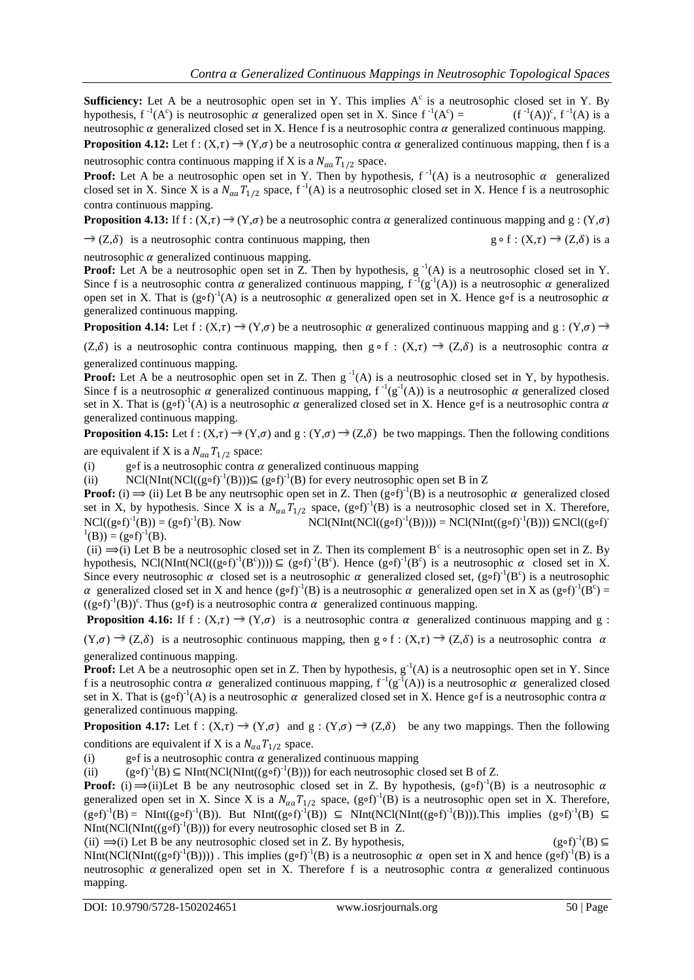**Sufficiency:** Let A be a neutrosophic open set in Y. This implies  $A<sup>c</sup>$  is a neutrosophic closed set in Y. By hypothesis,  $f^{-1}(A^c)$  is neutrosophic  $\alpha$  generalized open set in X. Since  $f^{-1}(A^c)$  $) =$   $(f^{-1}(A))^c$ ,  $f^{-1}(A)$  is a neutrosophic  $\alpha$  generalized closed set in X. Hence f is a neutrosophic contra  $\alpha$  generalized continuous mapping. **Proposition 4.12:** Let  $f : (X,\tau) \to (Y,\sigma)$  be a neutrosophic contra  $\alpha$  generalized continuous mapping, then f is a

neutrosophic contra continuous mapping if X is a  $N_{\alpha a} T_{1/2}$  space.

**Proof:** Let A be a neutrosophic open set in Y. Then by hypothesis,  $f^{-1}(A)$  is a neutrosophic  $\alpha$  generalized closed set in X. Since X is a  $N_{\alpha a}T_{1/2}$  space,  $f^{-1}(A)$  is a neutrosophic closed set in X. Hence f is a neutrosophic contra continuous mapping.

**Proposition 4.13:** If  $f : (X,\tau) \to (Y,\sigma)$  be a neutrosophic contra  $\alpha$  generalized continuous mapping and  $g : (Y,\sigma)$ 

 $\rightarrow$  (Z, $\delta$ ) is a neutrosophic contra continuous mapping, then g ∘ f : (X, $\tau$ )  $\rightarrow$  (Z, $\delta$ ) is a

neutrosophic  $\alpha$  generalized continuous mapping.

**Proof:** Let A be a neutrosophic open set in Z. Then by hypothesis,  $g^{-1}(A)$  is a neutrosophic closed set in Y. Since f is a neutrosophic contra  $\alpha$  generalized continuous mapping,  $f^{-1}(g^{-1}(A))$  is a neutrosophic  $\alpha$  generalized open set in X. That is (g∘f)<sup>-1</sup>(A) is a neutrosophic  $\alpha$  generalized open set in X. Hence g∘f is a neutrosophic  $\alpha$ generalized continuous mapping.

**Proposition 4.14:** Let  $f : (X,\tau) \to (Y,\sigma)$  be a neutrosophic  $\alpha$  generalized continuous mapping and  $g : (Y,\sigma) \to (Y,\sigma)$ 

(Z, $\delta$ ) is a neutrosophic contra continuous mapping, then g ∘ f : (X, $\tau$ )  $\rightarrow$  (Z, $\delta$ ) is a neutrosophic contra  $\alpha$ generalized continuous mapping.

**Proof:** Let A be a neutrosophic open set in Z. Then  $g^{-1}(A)$  is a neutrosophic closed set in Y, by hypothesis. Since f is a neutrosophic  $\alpha$  generalized continuous mapping,  $f^{-1}(g^{-1}(A))$  is a neutrosophic  $\alpha$  generalized closed set in X. That is (g∘f)<sup>-1</sup>(A) is a neutrosophic  $\alpha$  generalized closed set in X. Hence g∘f is a neutrosophic contra  $\alpha$ generalized continuous mapping.

**Proposition 4.15:** Let  $f : (X,\tau) \to (Y,\sigma)$  and  $g : (Y,\sigma) \to (Z,\delta)$  be two mappings. Then the following conditions are equivalent if X is a  $N_{\alpha a} T_{1/2}$  space:

(i) g∘f is a neutrosophic contra  $\alpha$  generalized continuous mapping

(ii) NCl(NInt(NCl(( $(g \circ f)^{-1}(B)$ ))⊆  $(g \circ f)^{-1}(B)$  for every neutrosophic open set B in Z

**Proof:** (i)  $\Rightarrow$  (ii) Let B be any neutrsophic open set in Z. Then  $(g \circ f)^{-1}(B)$  is a neutrosophic  $\alpha$  generalized closed set in X, by hypothesis. Since X is a  $N_{\alpha\alpha}T_{1/2}$  space, (g∘f)<sup>-1</sup>(B) is a neutrosophic closed set in X. Therefore, NCl( $(g \circ f)^{-1}(B)$ ) =  $(g \circ f)^{-1}$ (B). Now  $NCl(NInt(NCl((g \circ f)^{-1}(B)))) = NCl(NInt((g \circ f)^{-1}(B))) \subseteq NCl((g \circ f)^{-1}(B))$  $^{1}(B)) = (g \circ f)^{-1}(B).$ 

(ii)  $\Rightarrow$  (i) Let B be a neutrosophic closed set in Z. Then its complement B<sup>c</sup> is a neutrosophic open set in Z. By hypothesis, NCl(NInt(NCl((g∘f)<sup>-1</sup>(B<sup>c</sup>)))) ⊆ (g∘f)<sup>-1</sup>(B<sup>c</sup>). Hence (g∘f)<sup>-1</sup>(B<sup>c</sup>) is a neutrosophic  $\alpha$  closed set in X. Since every neutrosophic  $\alpha$  closed set is a neutrosophic  $\alpha$  generalized closed set, (g∘f)<sup>-1</sup>(B<sup>c</sup>) is a neutrosophic α generalized closed set in X and hence  $(g \circ f)^{-1}(B)$  is a neutrosophic α generalized open set in X as  $(g \circ f)^{-1}(B^c)$  =  $((g \circ f)^{-1}(B))^c$ . Thus (g∘f) is a neutrosophic contra  $\alpha$  generalized continuous mapping.

**Proposition 4.16:** If f:  $(X,\tau) \to (Y,\sigma)$  is a neutrosophic contra  $\alpha$  generalized continuous mapping and g:

 $(Y,\sigma) \to (Z,\delta)$  is a neutrosophic continuous mapping, then g ∘ f :  $(X,\tau) \to (Z,\delta)$  is a neutrosophic contra  $\alpha$ generalized continuous mapping.

**Proof:** Let A be a neutrosophic open set in Z. Then by hypothesis,  $g^{-1}(A)$  is a neutrosophic open set in Y. Since f is a neutrosophic contra  $\alpha$  generalized continuous mapping,  $f^{-1}(g^{-1}(A))$  is a neutrosophic  $\alpha$  generalized closed set in X. That is (g∘f)<sup>-1</sup>(A) is a neutrosophic  $\alpha$  generalized closed set in X. Hence g∘f is a neutrosophic contra  $\alpha$ generalized continuous mapping.

**Proposition 4.17:** Let  $f : (X,\tau) \to (Y,\sigma)$  and  $g : (Y,\sigma) \to (Z,\delta)$  be any two mappings. Then the following conditions are equivalent if X is a  $N_{\alpha a} T_{1/2}$  space.

(i) g∘f is a neutrosophic contra  $\alpha$  generalized continuous mapping

(ii)  $(g \circ f)^{-1}(B) \subseteq NInt(NCl(NInt((g \circ f)^{-1}(B)))$  for each neutrosophic closed set B of Z.

**Proof:** (i)  $\Rightarrow$ (ii)Let B be any neutrosophic closed set in Z. By hypothesis, (g∘f)<sup>-1</sup>(B) is a neutrosophic  $\alpha$ generalized open set in X. Since X is a  $N_{\alpha a}T_{1/2}$  space, (g∘f)<sup>-1</sup>(B) is a neutrosophic open set in X. Therefore,  $(g \circ f)^{-1}(B) = \text{NInt}((g \circ f)^{-1}(B))$ . But  $\text{NInt}((g \circ f)^{-1}(B)) \subseteq \text{NInt}(\text{NCl}(\text{NInt}((g \circ f)^{-1}(B)))$ . This implies  $(g \circ f)^{-1}(B) \subseteq$ NInt(NCl(NInt((g∘f)<sup>-1</sup>(B))) for every neutrosophic closed set B in Z.

(ii)  $\Rightarrow$ (i) Let B be any neutrosophic closed set in Z. By hypothesis,  $(g \circ f)^{-1}(B) \subseteq$ NInt(NCl(NInt((g∘f)<sup>-1</sup>(B)))). This implies (g∘f)<sup>-1</sup>(B) is a neutrosophic *α* open set in X and hence (g∘f)<sup>-1</sup>(B) is a neutrosophic  $\alpha$  generalized open set in X. Therefore f is a neutrosophic contra  $\alpha$  generalized continuous mapping.